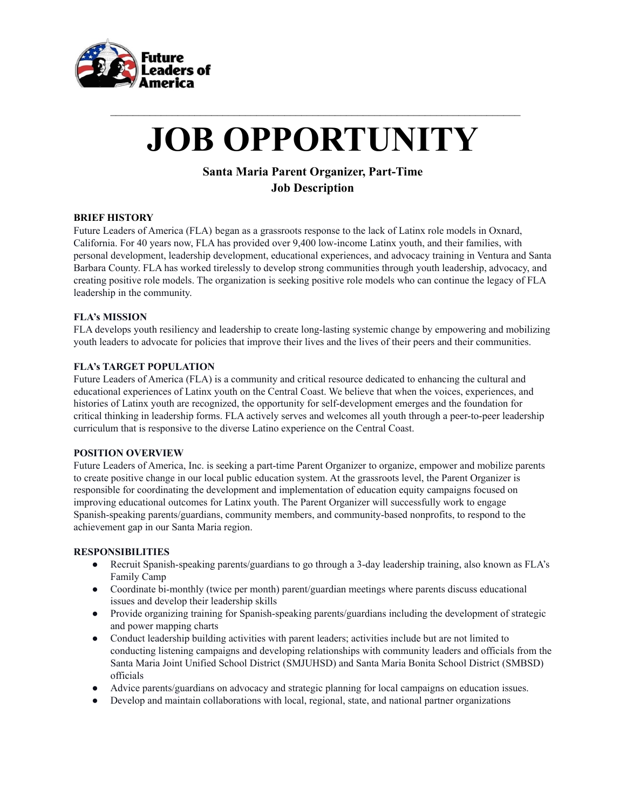

# **JOB OPPORTUNITY**

 $\mathcal{L}_\text{max} = \frac{1}{2} \sum_{i=1}^n \mathcal{L}_\text{max} = \frac{1}{2} \sum_{i=1}^n \mathcal{L}_\text{max} = \frac{1}{2} \sum_{i=1}^n \mathcal{L}_\text{max} = \frac{1}{2} \sum_{i=1}^n \mathcal{L}_\text{max} = \frac{1}{2} \sum_{i=1}^n \mathcal{L}_\text{max} = \frac{1}{2} \sum_{i=1}^n \mathcal{L}_\text{max} = \frac{1}{2} \sum_{i=1}^n \mathcal{L}_\text{max} = \frac{1}{2} \sum_{i=$ 

# **Santa Maria Parent Organizer, Part-Time Job Description**

# **BRIEF HISTORY**

Future Leaders of America (FLA) began as a grassroots response to the lack of Latinx role models in Oxnard, California. For 40 years now, FLA has provided over 9,400 low-income Latinx youth, and their families, with personal development, leadership development, educational experiences, and advocacy training in Ventura and Santa Barbara County. FLA has worked tirelessly to develop strong communities through youth leadership, advocacy, and creating positive role models. The organization is seeking positive role models who can continue the legacy of FLA leadership in the community.

# **FLA's MISSION**

FLA develops youth resiliency and leadership to create long-lasting systemic change by empowering and mobilizing youth leaders to advocate for policies that improve their lives and the lives of their peers and their communities.

# **FLA's TARGET POPULATION**

Future Leaders of America (FLA) is a community and critical resource dedicated to enhancing the cultural and educational experiences of Latinx youth on the Central Coast. We believe that when the voices, experiences, and histories of Latinx youth are recognized, the opportunity for self-development emerges and the foundation for critical thinking in leadership forms. FLA actively serves and welcomes all youth through a peer-to-peer leadership curriculum that is responsive to the diverse Latino experience on the Central Coast.

# **POSITION OVERVIEW**

Future Leaders of America, Inc. is seeking a part-time Parent Organizer to organize, empower and mobilize parents to create positive change in our local public education system. At the grassroots level, the Parent Organizer is responsible for coordinating the development and implementation of education equity campaigns focused on improving educational outcomes for Latinx youth. The Parent Organizer will successfully work to engage Spanish-speaking parents/guardians, community members, and community-based nonprofits, to respond to the achievement gap in our Santa Maria region.

# **RESPONSIBILITIES**

- Recruit Spanish-speaking parents/guardians to go through a 3-day leadership training, also known as FLA's Family Camp
- Coordinate bi-monthly (twice per month) parent/guardian meetings where parents discuss educational issues and develop their leadership skills
- Provide organizing training for Spanish-speaking parents/guardians including the development of strategic and power mapping charts
- Conduct leadership building activities with parent leaders; activities include but are not limited to conducting listening campaigns and developing relationships with community leaders and officials from the Santa Maria Joint Unified School District (SMJUHSD) and Santa Maria Bonita School District (SMBSD) officials
- Advice parents/guardians on advocacy and strategic planning for local campaigns on education issues.
- Develop and maintain collaborations with local, regional, state, and national partner organizations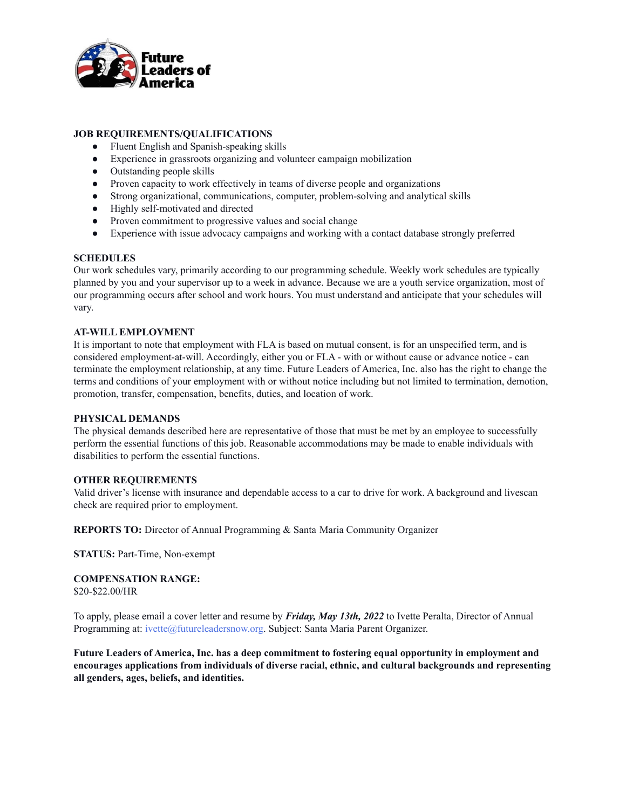

# **JOB REQUIREMENTS/QUALIFICATIONS**

- Fluent English and Spanish-speaking skills
- Experience in grassroots organizing and volunteer campaign mobilization
- Outstanding people skills
- Proven capacity to work effectively in teams of diverse people and organizations
- Strong organizational, communications, computer, problem-solving and analytical skills
- Highly self-motivated and directed
- Proven commitment to progressive values and social change
- Experience with issue advocacy campaigns and working with a contact database strongly preferred

## **SCHEDULES**

Our work schedules vary, primarily according to our programming schedule. Weekly work schedules are typically planned by you and your supervisor up to a week in advance. Because we are a youth service organization, most of our programming occurs after school and work hours. You must understand and anticipate that your schedules will vary.

# **AT-WILL EMPLOYMENT**

It is important to note that employment with FLA is based on mutual consent, is for an unspecified term, and is considered employment-at-will. Accordingly, either you or FLA - with or without cause or advance notice - can terminate the employment relationship, at any time. Future Leaders of America, Inc. also has the right to change the terms and conditions of your employment with or without notice including but not limited to termination, demotion, promotion, transfer, compensation, benefits, duties, and location of work.

## **PHYSICAL DEMANDS**

The physical demands described here are representative of those that must be met by an employee to successfully perform the essential functions of this job. Reasonable accommodations may be made to enable individuals with disabilities to perform the essential functions.

# **OTHER REQUIREMENTS**

Valid driver's license with insurance and dependable access to a car to drive for work. A background and livescan check are required prior to employment.

**REPORTS TO:** Director of Annual Programming & Santa Maria Community Organizer

**STATUS:** Part-Time, Non-exempt

**COMPENSATION RANGE:** \$20-\$22.00/HR

To apply, please email a cover letter and resume by *Friday, May 13th, 2022* to Ivette Peralta, Director of Annual Programming at: ivette@futureleadersnow.org. Subject: Santa Maria Parent Organizer.

**Future Leaders of America, Inc. has a deep commitment to fostering equal opportunity in employment and encourages applications from individuals of diverse racial, ethnic, and cultural backgrounds and representing all genders, ages, beliefs, and identities.**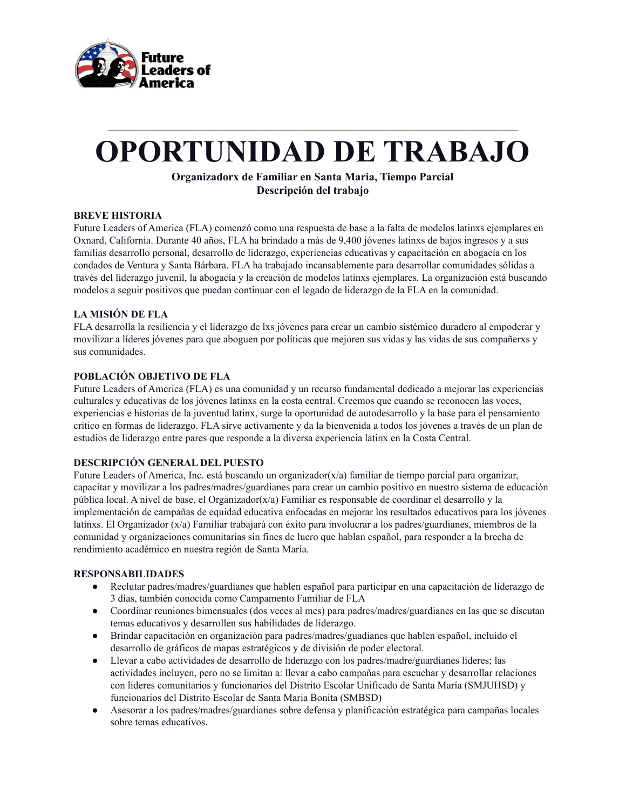

# **OPORTUNIDAD DE TRABAJO**

 $\mathcal{L}_\text{max} = \frac{1}{2} \sum_{i=1}^n \mathcal{L}_\text{max} = \frac{1}{2} \sum_{i=1}^n \mathcal{L}_\text{max} = \frac{1}{2} \sum_{i=1}^n \mathcal{L}_\text{max} = \frac{1}{2} \sum_{i=1}^n \mathcal{L}_\text{max} = \frac{1}{2} \sum_{i=1}^n \mathcal{L}_\text{max} = \frac{1}{2} \sum_{i=1}^n \mathcal{L}_\text{max} = \frac{1}{2} \sum_{i=1}^n \mathcal{L}_\text{max} = \frac{1}{2} \sum_{i=$ 

# **Organizadorx de Familiar en Santa Maria, Tiempo Parcial Descripción del trabajo**

# **BREVE HISTORIA**

Future Leaders of America (FLA) comenzó como una respuesta de base a la falta de modelos latinxs ejemplares en Oxnard, California. Durante 40 años, FLA ha brindado a más de 9,400 jóvenes latinxs de bajos ingresos y a sus familias desarrollo personal, desarrollo de liderazgo, experiencias educativas y capacitación en abogacía en los condados de Ventura y Santa Bárbara. FLA ha trabajado incansablemente para desarrollar comunidades sólidas a través del liderazgo juvenil, la abogacía y la creación de modelos latinxs ejemplares. La organización está buscando modelos a seguir positivos que puedan continuar con el legado de liderazgo de la FLA en la comunidad.

# **LA MISIÓN DE FLA**

FLA desarrolla la resiliencia y el liderazgo de lxs jóvenes para crear un cambio sistémico duradero al empoderar y movilizar a líderes jóvenes para que aboguen por políticas que mejoren sus vidas y las vidas de sus compañerxs y sus comunidades.

# **POBLACIÓN OBJETIVO DE FLA**

Future Leaders of America (FLA) es una comunidad y un recurso fundamental dedicado a mejorar las experiencias culturales y educativas de los jóvenes latinxs en la costa central. Creemos que cuando se reconocen las voces, experiencias e historias de la juventud latinx, surge la oportunidad de autodesarrollo y la base para el pensamiento crítico en formas de liderazgo. FLA sirve activamente y da la bienvenida a todos los jóvenes a través de un plan de estudios de liderazgo entre pares que responde a la diversa experiencia latinx en la Costa Central.

# **DESCRIPCIÓN GENERAL DEL PUESTO**

Future Leaders of America, Inc. está buscando un organizador(x/a) familiar de tiempo parcial para organizar, capacitar y movilizar a los padres/madres/guardianes para crear un cambio positivo en nuestro sistema de educación pública local. A nivel de base, el Organizador(x/a) Familiar es responsable de coordinar el desarrollo y la implementación de campañas de equidad educativa enfocadas en mejorar los resultados educativos para los jóvenes latinxs. El Organizador (x/a) Familiar trabajará con éxito para involucrar a los padres/guardianes, miembros de la comunidad y organizaciones comunitarias sin fines de lucro que hablan español, para responder a la brecha de rendimiento académico en nuestra región de Santa María.

# **RESPONSABILIDADES**

- Reclutar padres/madres/guardianes que hablen español para participar en una capacitación de liderazgo de 3 días, también conocida como Campamento Familiar de FLA
- Coordinar reuniones bimensuales (dos veces al mes) para padres/madres/guardianes en las que se discutan temas educativos y desarrollen sus habilidades de liderazgo.
- Brindar capacitación en organización para padres/madres/guadianes que hablen español, incluido el desarrollo de gráficos de mapas estratégicos y de división de poder electoral.
- Llevar a cabo actividades de desarrollo de liderazgo con los padres/madre/guardianes líderes; las actividades incluyen, pero no se limitan a: llevar a cabo campañas para escuchar y desarrollar relaciones con líderes comunitarios y funcionarios del Distrito Escolar Unificado de Santa María (SMJUHSD) y funcionarios del Distrito Escolar de Santa Maria Bonita (SMBSD)
- Asesorar a los padres/madres/guardianes sobre defensa y planificación estratégica para campañas locales sobre temas educativos.